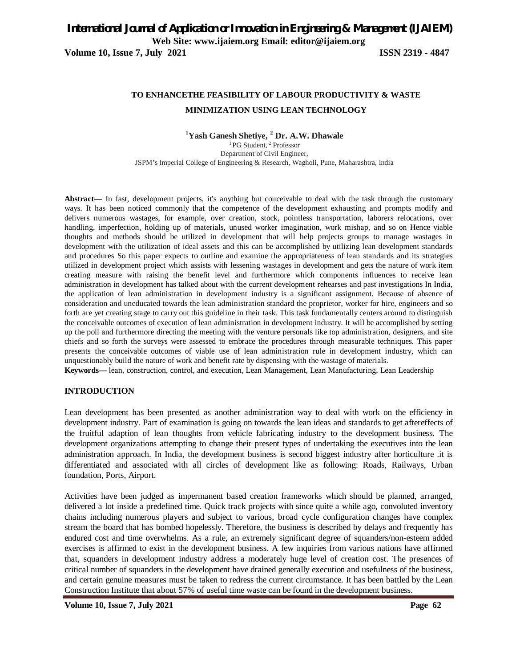**Volume 10, Issue 7, July 2021 ISSN 2319 - 4847**

# **TO ENHANCETHE FEASIBILITY OF LABOUR PRODUCTIVITY & WASTE MINIMIZATION USING LEAN TECHNOLOGY**

#### **<sup>1</sup>Yash Ganesh Shetiye, <sup>2</sup> Dr. A.W. Dhawale** <sup>1</sup>PG Student, <sup>2</sup> Professor Department of Civil Engineer, JSPM's Imperial College of Engineering & Research, Wagholi, Pune, Maharashtra, India

**Abstract—** In fast, development projects, it's anything but conceivable to deal with the task through the customary ways. It has been noticed commonly that the competence of the development exhausting and prompts modify and delivers numerous wastages, for example, over creation, stock, pointless transportation, laborers relocations, over handling, imperfection, holding up of materials, unused worker imagination, work mishap, and so on Hence viable thoughts and methods should be utilized in development that will help projects groups to manage wastages in development with the utilization of ideal assets and this can be accomplished by utilizing lean development standards and procedures So this paper expects to outline and examine the appropriateness of lean standards and its strategies utilized in development project which assists with lessening wastages in development and gets the nature of work item creating measure with raising the benefit level and furthermore which components influences to receive lean administration in development has talked about with the current development rehearses and past investigations In India, the application of lean administration in development industry is a significant assignment. Because of absence of consideration and uneducated towards the lean administration standard the proprietor, worker for hire, engineers and so forth are yet creating stage to carry out this guideline in their task. This task fundamentally centers around to distinguish the conceivable outcomes of execution of lean administration in development industry. It will be accomplished by setting up the poll and furthermore directing the meeting with the venture personals like top administration, designers, and site chiefs and so forth the surveys were assessed to embrace the procedures through measurable techniques. This paper presents the conceivable outcomes of viable use of lean administration rule in development industry, which can unquestionably build the nature of work and benefit rate by dispensing with the wastage of materials.

**Keywords—** lean, construction, control, and execution, Lean Management, Lean Manufacturing, Lean Leadership

#### **INTRODUCTION**

Lean development has been presented as another administration way to deal with work on the efficiency in development industry. Part of examination is going on towards the lean ideas and standards to get aftereffects of the fruitful adaption of lean thoughts from vehicle fabricating industry to the development business. The development organizations attempting to change their present types of undertaking the executives into the lean administration approach. In India, the development business is second biggest industry after horticulture .it is differentiated and associated with all circles of development like as following: Roads, Railways, Urban foundation, Ports, Airport.

Activities have been judged as impermanent based creation frameworks which should be planned, arranged, delivered a lot inside a predefined time. Quick track projects with since quite a while ago, convoluted inventory chains including numerous players and subject to various, broad cycle configuration changes have complex stream the board that has bombed hopelessly. Therefore, the business is described by delays and frequently has endured cost and time overwhelms. As a rule, an extremely significant degree of squanders/non-esteem added exercises is affirmed to exist in the development business. A few inquiries from various nations have affirmed that, squanders in development industry address a moderately huge level of creation cost. The presences of critical number of squanders in the development have drained generally execution and usefulness of the business, and certain genuine measures must be taken to redress the current circumstance. It has been battled by the Lean Construction Institute that about 57% of useful time waste can be found in the development business.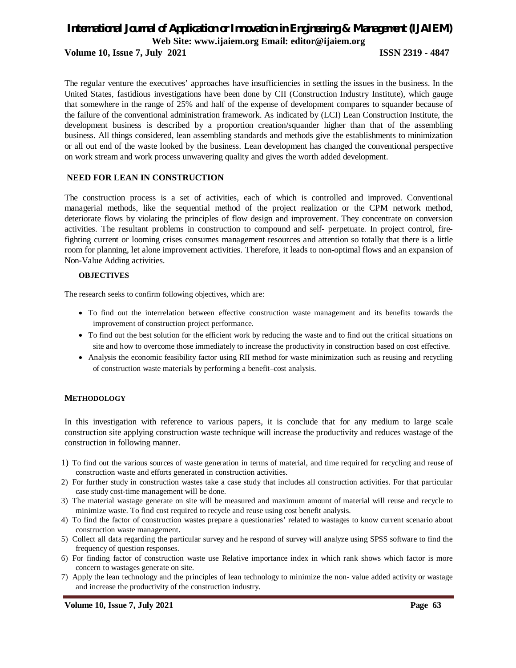**Volume 10, Issue 7, July 2021 ISSN 2319 - 4847**

The regular venture the executives' approaches have insufficiencies in settling the issues in the business. In the United States, fastidious investigations have been done by CII (Construction Industry Institute), which gauge that somewhere in the range of 25% and half of the expense of development compares to squander because of the failure of the conventional administration framework. As indicated by (LCI) Lean Construction Institute, the development business is described by a proportion creation/squander higher than that of the assembling business. All things considered, lean assembling standards and methods give the establishments to minimization or all out end of the waste looked by the business. Lean development has changed the conventional perspective on work stream and work process unwavering quality and gives the worth added development.

## **NEED FOR LEAN IN CONSTRUCTION**

The construction process is a set of activities, each of which is controlled and improved. Conventional managerial methods, like the sequential method of the project realization or the CPM network method, deteriorate flows by violating the principles of flow design and improvement. They concentrate on conversion activities. The resultant problems in construction to compound and self- perpetuate. In project control, firefighting current or looming crises consumes management resources and attention so totally that there is a little room for planning, let alone improvement activities. Therefore, it leads to non-optimal flows and an expansion of Non-Value Adding activities.

#### **OBJECTIVES**

The research seeks to confirm following objectives, which are:

- To find out the interrelation between effective construction waste management and its benefits towards the improvement of construction project performance.
- To find out the best solution for the efficient work by reducing the waste and to find out the critical situations on site and how to overcome those immediately to increase the productivity in construction based on cost effective.
- Analysis the economic feasibility factor using RII method for waste minimization such as reusing and recycling of construction waste materials by performing a benefit–cost analysis.

#### **METHODOLOGY**

In this investigation with reference to various papers, it is conclude that for any medium to large scale construction site applying construction waste technique will increase the productivity and reduces wastage of the construction in following manner.

- 1) To find out the various sources of waste generation in terms of material, and time required for recycling and reuse of construction waste and efforts generated in construction activities.
- 2) For further study in construction wastes take a case study that includes all construction activities. For that particular case study cost-time management will be done.
- 3) The material wastage generate on site will be measured and maximum amount of material will reuse and recycle to minimize waste. To find cost required to recycle and reuse using cost benefit analysis.
- 4) To find the factor of construction wastes prepare a questionaries' related to wastages to know current scenario about construction waste management.
- 5) Collect all data regarding the particular survey and he respond of survey will analyze using SPSS software to find the frequency of question responses.
- 6) For finding factor of construction waste use Relative importance index in which rank shows which factor is more concern to wastages generate on site.
- 7) Apply the lean technology and the principles of lean technology to minimize the non- value added activity or wastage and increase the productivity of the construction industry.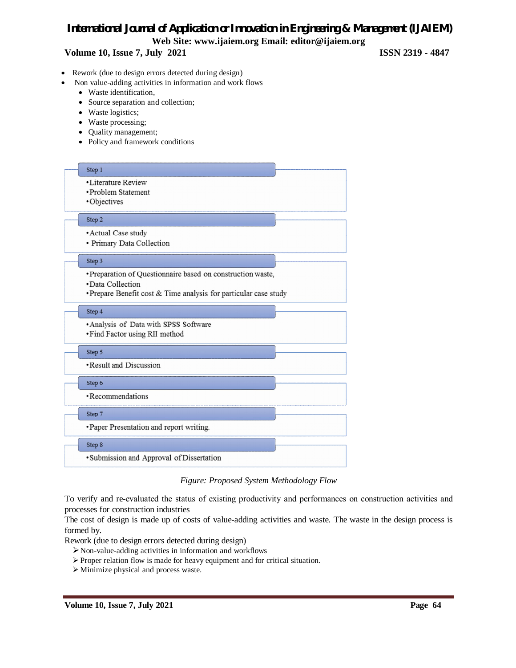## **Volume 10, Issue 7, July 2021 ISSN 2319 - 4847**

- Rework (due to design errors detected during design)
	- Non value-adding activities in information and work flows
	- Waste identification,
	- Source separation and collection;
	- Waste logistics;
	- Waste processing;
	- Quality management;
	- Policy and framework conditions



*Figure: Proposed System Methodology Flow*

To verify and re‐evaluated the status of existing productivity and performances on construction activities and processes for construction industries

The cost of design is made up of costs of value-adding activities and waste. The waste in the design process is formed by.

Rework (due to design errors detected during design)

- Non-value-adding activities in information and workflows
- Proper relation flow is made for heavy equipment and for critical situation.
- Minimize physical and process waste.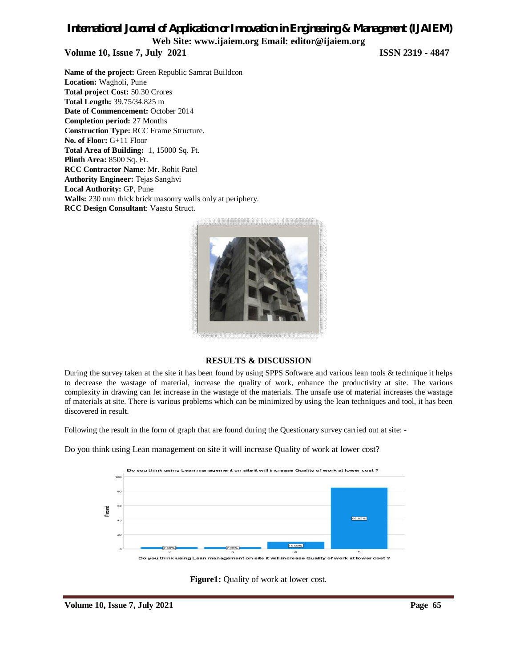## *International Journal of Application or Innovation in Engineering & Management (IJAIEM)* **Web Site: www.ijaiem.org Email: editor@ijaiem.org Volume 10, Issue 7, July 2021 ISSN 2319 - 4847**

**Name of the project:** Green Republic Samrat Buildcon **Location:** Wagholi, Pune **Total project Cost:** 50.30 Crores **Total Length:** 39.75/34.825 m **Date of Commencement:** October 2014 **Completion period:** 27 Months **Construction Type:** RCC Frame Structure. **No. of Floor:** G+11 Floor **Total Area of Building:** 1, 15000 Sq. Ft. **Plinth Area:** 8500 Sq. Ft. **RCC Contractor Name**: Mr. Rohit Patel **Authority Engineer:** Tejas Sanghvi **Local Authority:** GP, Pune **Walls:** 230 mm thick brick masonry walls only at periphery. **RCC Design Consultant**: Vaastu Struct.



## **RESULTS & DISCUSSION**

During the survey taken at the site it has been found by using SPPS Software and various lean tools & technique it helps to decrease the wastage of material, increase the quality of work, enhance the productivity at site. The various complexity in drawing can let increase in the wastage of the materials. The unsafe use of material increases the wastage of materials at site. There is various problems which can be minimized by using the lean techniques and tool, it has been discovered in result.

Following the result in the form of graph that are found during the Questionary survey carried out at site: -

Do you think using Lean management on site it will increase Quality of work at lower cost?



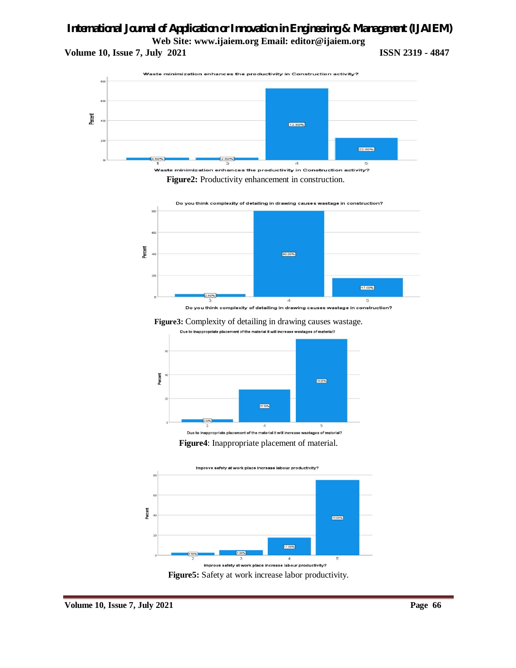**Volume 10, Issue 7, July 2021 ISSN 2319 - 4847** 



**Figure2:** Productivity enhancement in construction.



Do you think complexity of detailing in drawing causes wastage in construction?

**Figure3:** Complexity of detailing in drawing causes wastage. Due to Inappropriate placement of the material it will increase wastages of material?



**Figure4**: Inappropriate placement of material.



**Figure5:** Safety at work increase labor productivity.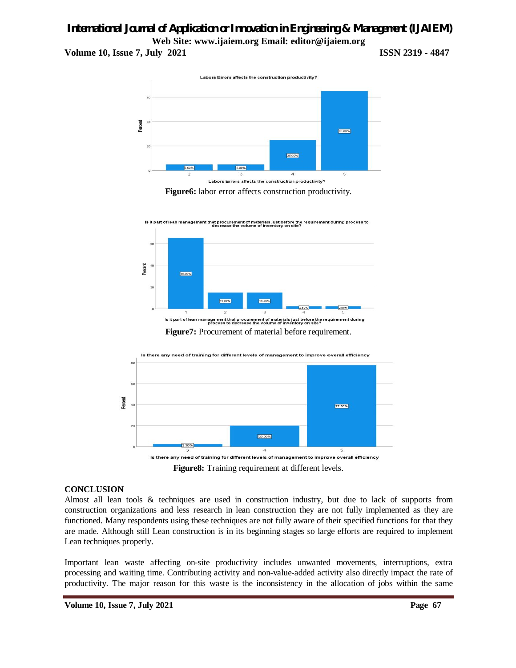**Volume 10, Issue 7, July 2021 ISSN 2319 - 4847**



**Figure6:** labor error affects construction productivity.



**Figure7:** Procurement of material before requirement.



**Figure8:** Training requirement at different levels.

## **CONCLUSION**

Almost all lean tools & techniques are used in construction industry, but due to lack of supports from construction organizations and less research in lean construction they are not fully implemented as they are functioned. Many respondents using these techniques are not fully aware of their specified functions for that they are made. Although still Lean construction is in its beginning stages so large efforts are required to implement Lean techniques properly.

Important lean waste affecting on-site productivity includes unwanted movements, interruptions, extra processing and waiting time. Contributing activity and non-value-added activity also directly impact the rate of productivity. The major reason for this waste is the inconsistency in the allocation of jobs within the same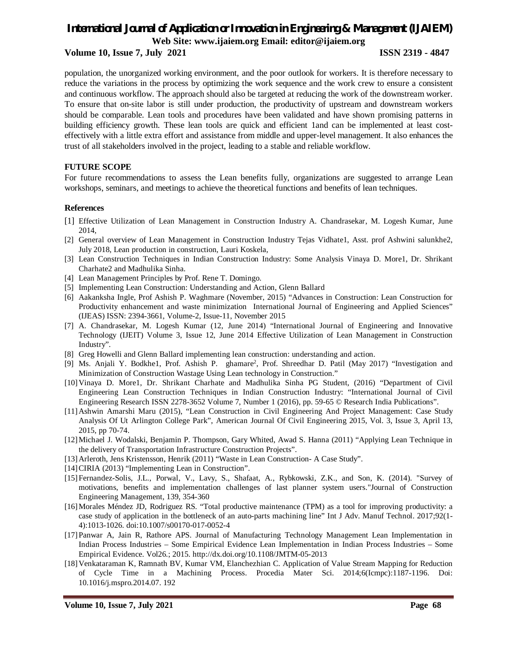### **Volume 10, Issue 7, July 2021 ISSN 2319 - 4847**

population, the unorganized working environment, and the poor outlook for workers. It is therefore necessary to reduce the variations in the process by optimizing the work sequence and the work crew to ensure a consistent and continuous workflow. The approach should also be targeted at reducing the work of the downstream worker. To ensure that on-site labor is still under production, the productivity of upstream and downstream workers should be comparable. Lean tools and procedures have been validated and have shown promising patterns in building efficiency growth. These lean tools are quick and efficient 1and can be implemented at least costeffectively with a little extra effort and assistance from middle and upper-level management. It also enhances the trust of all stakeholders involved in the project, leading to a stable and reliable workflow.

### **FUTURE SCOPE**

For future recommendations to assess the Lean benefits fully, organizations are suggested to arrange Lean workshops, seminars, and meetings to achieve the theoretical functions and benefits of lean techniques.

#### **References**

- [1] Effective Utilization of Lean Management in Construction Industry A. Chandrasekar, M. Logesh Kumar, June 2014,
- [2] General overview of Lean Management in Construction Industry Tejas Vidhate1, Asst. prof Ashwini salunkhe2, July 2018, Lean production in construction, Lauri Koskela,
- [3] Lean Construction Techniques in Indian Construction Industry: Some Analysis Vinaya D. More1, Dr. Shrikant Charhate2 and Madhulika Sinha.
- [4] Lean Management Principles by Prof. Rene T. Domingo.
- [5] Implementing Lean Construction: Understanding and Action, Glenn Ballard
- [6] Aakanksha Ingle, Prof Ashish P. Waghmare (November, 2015) "Advances in Construction: Lean Construction for Productivity enhancement and waste minimization International Journal of Engineering and Applied Sciences" (IJEAS) ISSN: 2394-3661, Volume-2, Issue-11, November 2015
- [7] A. Chandrasekar, M. Logesh Kumar (12, June 2014) "International Journal of Engineering and Innovative Technology (IJEIT) Volume 3, Issue 12, June 2014 Effective Utilization of Lean Management in Construction Industry".
- [8] Greg Howelli and Glenn Ballard implementing lean construction: understanding and action.
- [9] Ms. Anjali Y. Bodkhe1, Prof. Ashish P. ghamare<sup>2</sup> , Prof. Shreedhar D. Patil (May 2017) "Investigation and Minimization of Construction Wastage Using Lean technology in Construction."
- [10]Vinaya D. More1, Dr. Shrikant Charhate and Madhulika Sinha PG Student, (2016) "Department of Civil Engineering Lean Construction Techniques in Indian Construction Industry: "International Journal of Civil Engineering Research ISSN 2278-3652 Volume 7, Number 1 (2016), pp. 59-65 © Research India Publications".
- [11]Ashwin Amarshi Maru (2015), "Lean Construction in Civil Engineering And Project Management: Case Study Analysis Of Ut Arlington College Park", American Journal Of Civil Engineering 2015, Vol. 3, Issue 3, April 13, 2015, pp 70-74.
- [12]Michael J. Wodalski, Benjamin P. Thompson, Gary Whited, Awad S. Hanna (2011) "Applying Lean Technique in the delivery of Transportation Infrastructure Construction Projects".
- [13]Arleroth, Jens Kristensson, Henrik (2011) "Waste in Lean Construction- A Case Study".
- [14]CIRIA (2013) "Implementing Lean in Construction".
- [15]Fernandez-Solis, J.L., Porwal, V., Lavy, S., Shafaat, A., Rybkowski, Z.K., and Son, K. (2014). "Survey of motivations, benefits and implementation challenges of last planner system users."Journal of Construction Engineering Management, 139, 354-360
- [16]Morales Méndez JD, Rodriguez RS. "Total productive maintenance (TPM) as a tool for improving productivity: a case study of application in the bottleneck of an auto-parts machining line" Int J Adv. Manuf Technol. 2017;92(1- 4):1013-1026. doi:10.1007/s00170-017-0052-4
- [17]Panwar A, Jain R, Rathore APS. Journal of Manufacturing Technology Management Lean Implementation in Indian Process Industries – Some Empirical Evidence Lean Implementation in Indian Process Industries – Some Empirical Evidence. Vol26.; 2015. http://dx.doi.org/10.1108/JMTM-05-2013
- [18]Venkataraman K, Ramnath BV, Kumar VM, Elanchezhian C. Application of Value Stream Mapping for Reduction of Cycle Time in a Machining Process. Procedia Mater Sci. 2014;6(Icmpc):1187-1196. Doi: 10.1016/j.mspro.2014.07. 192